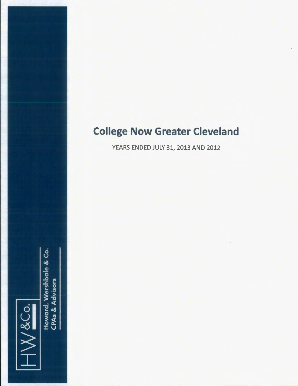## College Now Greater Cleveland

YEARS ENDED JULY 31, 2013 AND 2012



Howard, Wershbale & Co.<br>CPAs & Advisors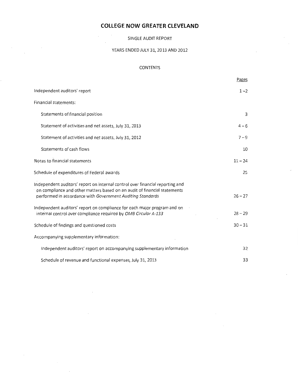### SINGLE AUDIT REPORT

 $\sim$   $\sim$  $\mathbf{r}$ 

### YEARS ENDED JULY 31, 2013 AND 2012

### CONTENTS

|                                                                                                                                                                                                                          | Pages     |
|--------------------------------------------------------------------------------------------------------------------------------------------------------------------------------------------------------------------------|-----------|
| Independent auditors' report                                                                                                                                                                                             | $1 - 2$   |
| Financial statements:                                                                                                                                                                                                    |           |
| Statements of financial position                                                                                                                                                                                         | 3         |
| Statement of activities and net assets, July 31, 2013                                                                                                                                                                    | $4 - 6$   |
| Statement of activities and net assets, July 31, 2012                                                                                                                                                                    | $7 - 9$   |
| Statements of cash flows                                                                                                                                                                                                 | 10        |
| Notes to financial statements                                                                                                                                                                                            | $11 - 24$ |
| Schedule of expenditures of Federal awards                                                                                                                                                                               | 25        |
| Independent auditors' report on internal control over financial reporting and<br>on compliance and other matters based on an audit of financial statements<br>performed in accordance with Government Auditing Standards | $26 - 27$ |
| Independent auditors' report on compliance for each major program and on<br>internal control over compliance required by OMB Circular A-133                                                                              | $28 - 29$ |
| Schedule of findings and questioned costs                                                                                                                                                                                | $30 - 31$ |
| Accompanying supplementary information:                                                                                                                                                                                  |           |
| Independent auditors' report on accompanying supplementary information                                                                                                                                                   | 32        |
| Schedule of revenue and functional expenses, July 31, 2013                                                                                                                                                               | 33        |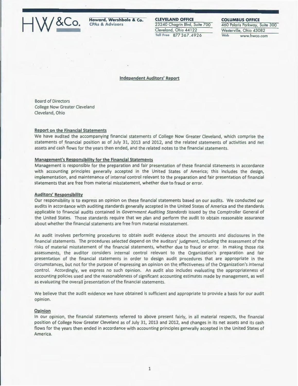# HW&Co.

Howard, Wershbale & Co. CPAs & Advisors

### CLEVELAND OFFICE

23240 Chagrin Blvd, Suite 700 Cleveland, Ohio 44122 Toll Free 877 367.4926

### COLUMBUS OFFICE

460 Polaris Parkway, Suite 300 Westerville, Ohio 43082<br>Web www.hwco.com www.hwco.com

Independent Auditors' Report

Board of Directors College Now Greater Cleveland Cleveland, Ohio

### Report on the Financial Statements

We have audited the accompanying financial statements of College Now Greater Cleveland, which comprise the statements of financial position as of July 31, 2013 and 2012, and the related statements of activities and net assets and cash flows for the years then ended, and the related notes to the financial statements.

### Management's Responsibility for the Financial Statements

Management is responsible for the preparation and fair presentation of these financial statements in accordance with accounting principles generally accepted in the United States of America; this includes the design, implementation, and maintenance of internal control relevant to the preparation and fair presentation of financial statements that are free from material misstatement, whether due to fraud or error.

### Auditors' Responsibility

Our responsibility is to express an opinion on these financial statements based on our audits. We conducted our audits in accordance with auditing standards generally accepted in the United States of America and the standards applicable to financial audits contained in Government Auditing Standards issued by the Comptroller General of the United States. Those standards require that we plan and perform the audit to obtain reasonable assurance about whether the financial statements are free from material misstatement.

An audit involves performing procedures to obtain audit evidence about the amounts and disclosures in the financial statements. The procedures selected depend on the auditors' judgment, including the assessment of the risks of material misstatement of the financial statements, whether due to fraud or error. In making those risk assessments, the auditor considers internal control relevant to the Organization's preparation and fair presentation of the financial statements in order to design audit procedures that are appropriate in the circumstances, but not for the purpose of expressing an opinion on the. effectiveness of the Organization's internal control. Accordingly, we express no such opinion. An audit also includes evaluating the appropriateness of accounting policies used and the reasonableness of significant accounting estimates made by management, as well as evaluating the overall presentation of the financial statements.

We believe that the audit evidence we have obtained is sufficient and appropriate to provide a basis for our audit opinion.

### Opinion

In our opinion, the financial statements referred to above present fairly, in all material respects, the financial position of College Now Greater Cleveland as of July 31, 2013 and 2012, and changes in its net assets and its cash flows for the years then ended in accordance with accounting principles generally accepted in the United States of America.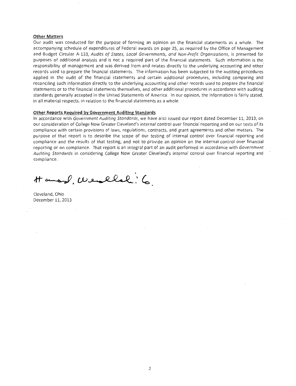### **Other Matters**

Our audit was conducted for the purpose of forming an opinion on the financial statements as a whole. The accompanying schedule of expenditures of Federal awards on page 25, as required by the Office of Management and Budget Circular A-133, Audits of States, Local Governments, and Non-Profit Organizations, is presented for purposes of additional analysis and is not a required part of the financial statements. Such information is the responsibility of management and was derived from and relates directly to the underlying accounting and other. records used to prepare the financial statements. The information has been subjected to the auditing procedures applied in the audit of the financial statements and certain additional procedures, including comparing and reconciling such information directly to the underlying accounting and other records used to prepare the financial statements or to the financial statements themselves, and other additional procedures in accordance with auditing standards generally accepted in the United Statements of America. In our opinion, the information is fairly stated, in all material respects, in relation to the financial statements as a whole.

### **Other Reports Required by Government Auditing Standards**

In accordance with *Government Auditing Standards,* we have also issued our report dated December 11, 2013, on our consideration of College Now Greater Cleveland's internal control over financial reporting and on our tests of its compliance with certain provisions of laws, regulations, contracts, and grant agreements and other matters. The purpose of that report is to describe the scope of our testing of internal control over financial reporting and compliance and the results of that testing, and not to provide an opinion on the internal control over financial reporting or on compliance. That report is an integral part of an audit performed in accordance with *Government Auditing Standards* in considering College Now Greater Cleveland's internal control over financial reporting and compliance.

Hamood Wendlal' 6

Cleveland, Ohio December 11, 2013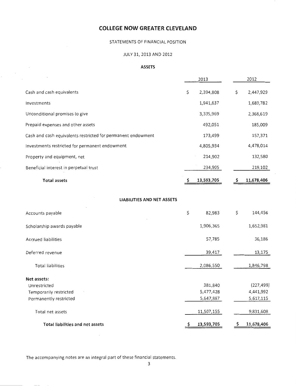### STATEMENTS OF FINANCIAL POSITION

### JULY 31,2013 AND 2012

### **ASSETS**

 $\mathcal{L}_{\mathcal{A}}$ 

|                                                              | 2013            | 2012             |  |
|--------------------------------------------------------------|-----------------|------------------|--|
| Cash and cash equivalents                                    | \$<br>2,394,808 | \$<br>2,447,929  |  |
| Investments                                                  | 1,941,637       | 1,689,782        |  |
| Unconditional promises to give                               | 3,335,969       | 2,368,619        |  |
| Prepaid expenses and other assets                            | 492,051         | 185,009          |  |
| Cash and cash equivalents restricted for permanent endowment | 173,499         | 157,371          |  |
| Investments restricted for permanent endowment               | 4,805,934       | 4,478,014        |  |
| Property and equipment, net                                  | 214,902         | 132,580          |  |
| Beneficial interest in perpetual trust                       | 234,905         | 219,102          |  |
| <b>Total assets</b>                                          | 13,593,705      | \$<br>11,678,406 |  |
| LIABILITIES AND NET ASSETS                                   |                 |                  |  |
| Accounts payable                                             | \$<br>82,983    | \$<br>144,456    |  |
| Scholarship awards payable                                   | 1,906,365       | 1,652,981        |  |
| <b>Accrued liabilities</b>                                   | 57,785          | 36,186           |  |
| Deferred revenue                                             | 39,417          | 13,175           |  |
| <b>Total liabilities</b>                                     | 2,086,550       | 1,846,798        |  |

| Total liabilities and net assets | 13,593,705 | 11,678,406 |
|----------------------------------|------------|------------|
| Total net assets                 | 11,507,155 | 9,831,608  |
| Permanently restricted           | 5,647,887  | 5,617,115  |
| Temporarily restricted           | 5,477,428  | 4,441,992  |
| Unrestricted                     | 381,840    | (227, 499) |
| Net assets:                      |            |            |
|                                  |            |            |

The accompanying notes are an integral part of these financial statements.

 $\bar{z}$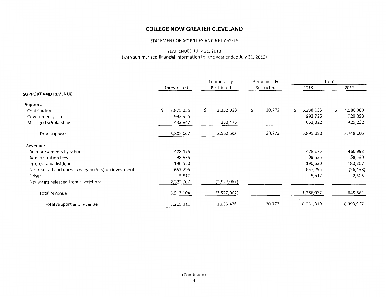### STATEMENT OF ACTIVITIES AND NET ASSETS

### YEAR ENDED JULY 31, 2013 (with summarized financial information for the year ended July 31, 2012)

|                                                        |                | Temporarily     | Permanently  | Total            |                 |  |  |
|--------------------------------------------------------|----------------|-----------------|--------------|------------------|-----------------|--|--|
|                                                        | Unrestricted   | Restricted      | Restricted   | 2013             | 2012            |  |  |
| <b>SUPPORT AND REVENUE:</b>                            |                |                 |              |                  |                 |  |  |
| Support:                                               |                |                 |              |                  |                 |  |  |
| Contributions                                          | ς<br>1,875,235 | \$<br>3,332,028 | \$<br>30,772 | \$.<br>5,238,035 | \$<br>4,588,980 |  |  |
| Government grants                                      | 993,925        |                 |              | 993,925          | 729,893         |  |  |
| Managed scholarships                                   | 432,847        | 230,475         |              | 663,322          | 429,232         |  |  |
| Total support                                          | 3,302,007      | 3,562,503       | 30,772       | 6,895,282        | 5,748,105       |  |  |
| Revenue:                                               |                |                 |              |                  |                 |  |  |
| Reimbursements by schools                              | 428,175        |                 |              | 428,175          | 460,898         |  |  |
| Administration fees                                    | 98,535         |                 |              | 98,535           | 58,530          |  |  |
| Interest and dividends                                 | 196,520        |                 |              | 196,520          | 180,267         |  |  |
| Net realized and unrealized gain (loss) on investments | 657,295        |                 |              | 657,295          | (56, 438)       |  |  |
| Other                                                  | 5,512          |                 |              | 5,512            | 2,605           |  |  |
| Net assets released from restrictions                  | 2,527,067      | (2,527,067)     |              |                  |                 |  |  |
| Total revenue                                          | 3,913,104      | (2,527,067)     |              | 1,386,037        | 645,862         |  |  |
| Total support and revenue                              | 7,215,111      | 1,035,436       | 30,772       | 8,281,319        | 6,393,967       |  |  |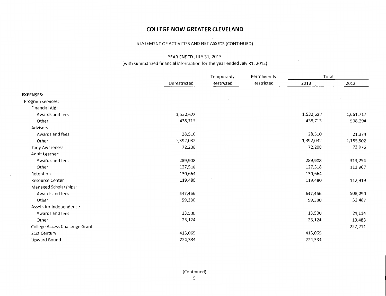### STATEMENT OF ACTIVITIES AND NET ASSETS (CONTINUED)

### YEAR ENDED JULY 31, 2013

### (with summarized financial information for the year ended July 31, 2012)

| Unrestricted<br>Restricted<br>Restricted<br>2013<br>2012<br><b>EXPENSES:</b><br>Program services:<br>Financial Aid:<br>Awards and fees<br>1,532,622<br>1,532,622<br>438,713<br>438,713<br>Other<br>Advisors:<br>28,510<br>28,510<br>Awards and fees<br>1,392,032<br>1,392,032<br>Other<br>72,208<br>72,208<br><b>Early Awareness</b><br>Adult Learner:<br>Awards and fees<br>289,908<br>289,908<br>127,518<br>Other<br>127,518<br>130,664<br>130,664<br>Retention<br>119,480<br><b>Resource Center</b><br>119,480<br>Managed Scholarships:<br>647,466<br>Awards and fees<br>647,466<br>59,380<br>Other<br>59,380<br>Assets for Independence:<br>Awards and fees<br>13,500<br>13,500<br>24,114<br>Other<br>23,124<br>23,124<br>19,483<br>227,211<br>College Access Challenge Grant<br>415,065<br>415,065<br>21st Century<br>224,334<br>224,334<br>Upward Bound |  | Temporarily | Permanently | Total |           |
|---------------------------------------------------------------------------------------------------------------------------------------------------------------------------------------------------------------------------------------------------------------------------------------------------------------------------------------------------------------------------------------------------------------------------------------------------------------------------------------------------------------------------------------------------------------------------------------------------------------------------------------------------------------------------------------------------------------------------------------------------------------------------------------------------------------------------------------------------------------|--|-------------|-------------|-------|-----------|
|                                                                                                                                                                                                                                                                                                                                                                                                                                                                                                                                                                                                                                                                                                                                                                                                                                                               |  |             |             |       |           |
|                                                                                                                                                                                                                                                                                                                                                                                                                                                                                                                                                                                                                                                                                                                                                                                                                                                               |  |             |             |       |           |
|                                                                                                                                                                                                                                                                                                                                                                                                                                                                                                                                                                                                                                                                                                                                                                                                                                                               |  |             |             |       |           |
|                                                                                                                                                                                                                                                                                                                                                                                                                                                                                                                                                                                                                                                                                                                                                                                                                                                               |  |             |             |       |           |
|                                                                                                                                                                                                                                                                                                                                                                                                                                                                                                                                                                                                                                                                                                                                                                                                                                                               |  |             |             |       | 1,661,717 |
|                                                                                                                                                                                                                                                                                                                                                                                                                                                                                                                                                                                                                                                                                                                                                                                                                                                               |  |             |             |       | 508,294   |
|                                                                                                                                                                                                                                                                                                                                                                                                                                                                                                                                                                                                                                                                                                                                                                                                                                                               |  |             |             |       |           |
|                                                                                                                                                                                                                                                                                                                                                                                                                                                                                                                                                                                                                                                                                                                                                                                                                                                               |  |             |             |       | 21,374    |
|                                                                                                                                                                                                                                                                                                                                                                                                                                                                                                                                                                                                                                                                                                                                                                                                                                                               |  |             |             |       | 1,185,502 |
|                                                                                                                                                                                                                                                                                                                                                                                                                                                                                                                                                                                                                                                                                                                                                                                                                                                               |  |             |             |       | 72,076    |
|                                                                                                                                                                                                                                                                                                                                                                                                                                                                                                                                                                                                                                                                                                                                                                                                                                                               |  |             |             |       |           |
|                                                                                                                                                                                                                                                                                                                                                                                                                                                                                                                                                                                                                                                                                                                                                                                                                                                               |  |             |             |       | 313,254   |
|                                                                                                                                                                                                                                                                                                                                                                                                                                                                                                                                                                                                                                                                                                                                                                                                                                                               |  |             |             |       | 111,967   |
|                                                                                                                                                                                                                                                                                                                                                                                                                                                                                                                                                                                                                                                                                                                                                                                                                                                               |  |             |             |       |           |
|                                                                                                                                                                                                                                                                                                                                                                                                                                                                                                                                                                                                                                                                                                                                                                                                                                                               |  |             |             |       | 112,919   |
|                                                                                                                                                                                                                                                                                                                                                                                                                                                                                                                                                                                                                                                                                                                                                                                                                                                               |  |             |             |       |           |
|                                                                                                                                                                                                                                                                                                                                                                                                                                                                                                                                                                                                                                                                                                                                                                                                                                                               |  |             |             |       | 508,290   |
|                                                                                                                                                                                                                                                                                                                                                                                                                                                                                                                                                                                                                                                                                                                                                                                                                                                               |  |             |             |       | 52,487    |
|                                                                                                                                                                                                                                                                                                                                                                                                                                                                                                                                                                                                                                                                                                                                                                                                                                                               |  |             |             |       |           |
|                                                                                                                                                                                                                                                                                                                                                                                                                                                                                                                                                                                                                                                                                                                                                                                                                                                               |  |             |             |       |           |
|                                                                                                                                                                                                                                                                                                                                                                                                                                                                                                                                                                                                                                                                                                                                                                                                                                                               |  |             |             |       |           |
|                                                                                                                                                                                                                                                                                                                                                                                                                                                                                                                                                                                                                                                                                                                                                                                                                                                               |  |             |             |       |           |
|                                                                                                                                                                                                                                                                                                                                                                                                                                                                                                                                                                                                                                                                                                                                                                                                                                                               |  |             |             |       |           |
|                                                                                                                                                                                                                                                                                                                                                                                                                                                                                                                                                                                                                                                                                                                                                                                                                                                               |  |             |             |       |           |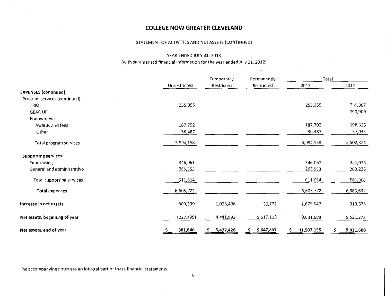### STATEMENT OF ACTIVITIES AND NET ASSETS (CONTINUED)

### YEAR ENDED JULY 31, 2013

(with summarized financial information for the year ended July 31, 2012)

|                               |               |            | Permanently |            | Total     |
|-------------------------------|---------------|------------|-------------|------------|-----------|
|                               | Unrestricted  | Restricted | Restricted  | 2013       | 2012      |
| <b>EXPENSES (continued):</b>  |               |            |             |            |           |
| Program services (continued): |               |            |             |            |           |
| <b>TRIO</b>                   | 255,355       |            |             | 255,355    | 259,067   |
| <b>GEAR UP</b>                |               |            |             |            | 190,909   |
| Endowment:                    |               |            |             |            |           |
| Awards and fees               | 187,792       |            |             | 187,792    | 196,625   |
| Other                         | 36,487        |            |             | 36,487     | 37,035    |
| Total program services        | 5,994,158     |            |             | 5,994,158  | 5,502,324 |
| <b>Supporting services:</b>   |               |            |             |            |           |
| Fundraising                   | 346,061       |            |             | 346,061    | 321,073   |
| General and administrative    | 265,553       |            |             | 265,553    | 260,235   |
| Total supporting services     | 611,614       |            |             | 611,614    | 581,308   |
| <b>Total expenses</b>         | 6,605,772     |            |             | 6,605,772  | 6,083,632 |
| Increase in net assets        | 609,339       | 1,035,436  | 30,772      | 1,675,547  | 310,335   |
| Net assets, beginning of year | (227, 499)    | 4,441,992  | 5,617,115   | 9,831,608  | 9,521,273 |
| Net assets, end of year       | 381,840<br>\$ | 5,477,428  | 5,647,887   | 11,507,155 | 9,831,608 |

The accompanying notes are an integral part of these financial statements.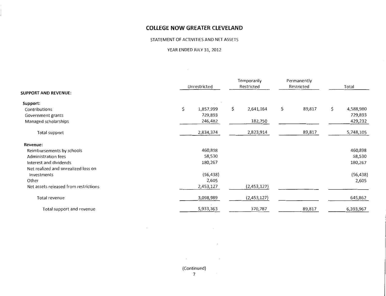STATEMENT OF ACTIVITIES AND NET ASSETS

YEAR ENDED JULY 31, 2012

 $\mathcal{L}^{\text{max}}$ 

|                                       | Unrestricted    | Temporarily<br>Restricted | Permanently<br>Restricted | Total           |
|---------------------------------------|-----------------|---------------------------|---------------------------|-----------------|
| SUPPORT AND REVENUE:                  |                 |                           |                           |                 |
| Support:                              |                 |                           |                           |                 |
| Contributions                         | \$<br>1,857,999 | \$<br>2,641,164           | \$<br>89,817              | \$<br>4,588,980 |
| Government grants                     | 729,893         |                           |                           | 729,893         |
| Managed scholarships                  | 246,482         | 182,750                   |                           | 429,232         |
| Total support                         | 2,834,374       | 2,823,914                 | 89,817                    | 5,748,105       |
| Revenue:                              |                 |                           |                           |                 |
| Reimbursements by schools             | 460,898         |                           |                           | 460,898         |
| Administration fees                   | 58,530          |                           |                           | 58,530          |
| Interest and dividends                | 180,267         |                           |                           | 180,267         |
| Net realized and unrealized loss on   |                 |                           |                           |                 |
| investments                           | (56, 438)       |                           |                           | (56, 438)       |
| Other                                 | 2,605           |                           |                           | 2,605           |
| Net assets released from restrictions | 2,453,127       | (2,453,127)               |                           |                 |
| Total revenue                         | 3,098,989       | (2,453,127)               |                           | 645,862         |
| Total support and revenue             | 5,933,363       | 370,787                   | 89,817                    | 6,393,967       |

 $\mathcal{L}_{\text{max}}$  and  $\mathcal{L}_{\text{max}}$  and  $\mathcal{L}_{\text{max}}$ 

 $\sim 10^{-1}$ 

 $\sim 100$ 

 $\mathcal{L}^{\mathcal{L}}$  ,  $\mathcal{L}^{\mathcal{L}}$  ,  $\mathcal{L}^{\mathcal{L}}$  ,  $\mathcal{L}^{\mathcal{L}}$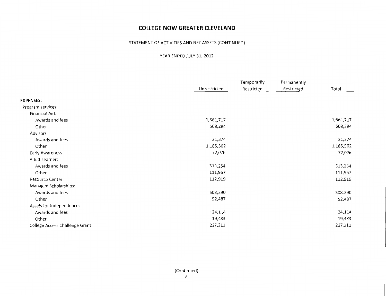$\sim 10^{-1}$ 

### STATEMENT OF ACTIVITIES AND NET ASSETS (CONTINUED)

### YEAR ENDED JULY 31, 2012

|                                | Temporarily                | Permanently         |  |
|--------------------------------|----------------------------|---------------------|--|
|                                | Unrestricted<br>Restricted | Restricted<br>Total |  |
| <b>EXPENSES:</b>               |                            |                     |  |
| Program services:              |                            |                     |  |
| Financial Aid:                 |                            |                     |  |
| Awards and fees                | 1,661,717                  | 1,661,717           |  |
| Other                          | 508,294                    | 508,294             |  |
| Advisors:                      |                            |                     |  |
| Awards and fees                | 21,374                     | 21,374              |  |
| Other                          | 1,185,502                  | 1,185,502           |  |
| <b>Early Awareness</b>         | 72,076                     | 72,076              |  |
| Adult Learner:                 |                            |                     |  |
| Awards and fees                | 313,254                    | 313,254             |  |
| Other                          | 111,967                    | 111,967             |  |
| Resource Center                | 112,919                    | 112,919             |  |
| Managed Scholarships:          |                            |                     |  |
| Awards and fees                | 508,290                    | 508,290             |  |
| Other                          | 52,487                     | 52,487              |  |
| Assets for Independence:       |                            |                     |  |
| Awards and fees                | $-24,114$                  | 24,114              |  |
| Other                          | 19,483                     | 19,483              |  |
| College Access Challenge Grant | 227,211                    | 227,211             |  |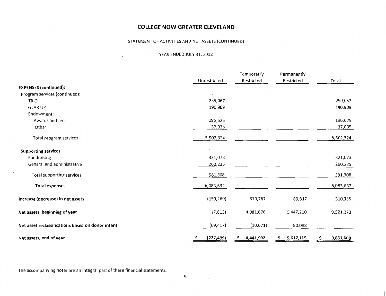### STATEMENT OF ACTIVITIES AND NET ASSETS (CONTINUED)

### YEAR ENDED JULY 31, 2012

 $\mathcal{L}$ 

|                                                   |                                        | Temporarily    | Permanently     |           |
|---------------------------------------------------|----------------------------------------|----------------|-----------------|-----------|
|                                                   | Unrestricted                           | Restricted     | Restricted      | Total     |
| <b>EXPENSES (continued):</b>                      |                                        |                |                 |           |
| Program services (continued):                     |                                        |                |                 |           |
| <b>TRIO</b>                                       | 259,067                                |                |                 | 259,067   |
| <b>GEAR UP</b>                                    | 190,909                                |                |                 | 190,909   |
| Endowment:                                        |                                        |                |                 |           |
| Awards and fees                                   | 196,625                                |                |                 | 196,625   |
| Other                                             | 37,035                                 |                |                 | 37,035    |
| Total program services                            | 5,502,324                              |                |                 | 5,502,324 |
| <b>Supporting services:</b>                       | $\mathbf{r}$                           |                |                 |           |
| Fundraising                                       | 321,073                                |                |                 | 321,073   |
| General and administrative                        | 260,235                                |                |                 | 260,235   |
| Total supporting services                         | 581,308                                |                |                 | 581,308   |
| <b>Total expenses</b>                             | 6,083,632                              |                |                 | 6,083,632 |
| Increase (decrease) in net assets                 | (150, 269)                             | 370,787        | 89,817          | 310,335   |
| Net assets, beginning of year                     | (7, 813)                               | 4,081,876      | 5,447,210       | 9,521,273 |
| Net asset reclassifications based on donor intent | (69, 417)                              | (10, 671)      | 80,088          |           |
| Net assets, end of year                           | (227, 499)<br>$\overline{\mathcal{F}}$ | 4,441,992<br>Ş | 5,617,115<br>\$ | 9,831,608 |

The accompanying notes are an integral part of these financial statements.

9

 $\mathcal{L}_{\mathcal{A}}$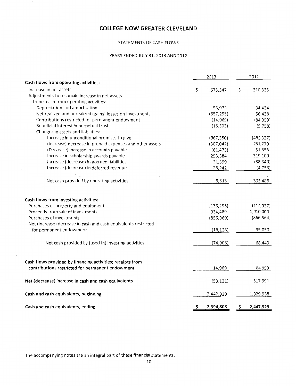### STATEMENTS OF CASH FLOWS

### YEARS ENDED JULY 31, 2013 AND 2012

|                                                                 |    | 2013       |    | 2012       |  |
|-----------------------------------------------------------------|----|------------|----|------------|--|
| Cash flows from operating activities:                           |    |            |    |            |  |
| Increase in net assets                                          | \$ | 1,675,547  | \$ | 310,335    |  |
| Adjustments to reconcile increase in net assets                 |    |            |    |            |  |
| to net cash from operating activities:                          |    |            |    |            |  |
| Depreciation and amortization                                   |    | 53,973     |    | 34,434     |  |
| Net realized and unrealized (gains) losses on investments       |    | (657, 295) |    | 56,438     |  |
| Contributions restricted for permanent endowment                |    | (14, 969)  |    | (84,059)   |  |
| Beneficial interest in perpetual trusts                         |    | (15, 803)  |    | (5,758)    |  |
| Changes in assets and liabilities:                              |    |            |    |            |  |
| Increase in unconditional promises to give                      |    | (967, 350) |    | (485, 337) |  |
| (increase) decrease in prepaid expenses and other assets        |    | (307, 042) |    | 261,779    |  |
| (Decrease) increase in accounts payable                         |    | (61, 473)  |    | 51,653     |  |
| Increase in scholarship awards payable                          |    | 253,384    |    | 319,100    |  |
| Increase (decrease) in accrued liabilities                      |    | 21,599     |    | (88, 349)  |  |
| Increase (decrease) in deferred revenue                         |    | 26,242     |    | (4, 753)   |  |
| Net cash provided by operating activities                       |    | 6,813      |    | 365,483    |  |
| Cash flows from investing activities:                           |    |            |    |            |  |
| Purchases of property and equipment                             |    | (136, 295) |    | (110, 037) |  |
| Proceeds from sale of investments                               |    | 934,489    |    | 1,010,000  |  |
| Purchases of investments                                        |    | (856, 969) |    | (866, 564) |  |
| Net (increase) decrease in cash and cash equivalents restricted |    |            |    |            |  |
| for permanent endowment                                         |    | (16, 128)  |    | 35,050     |  |
| Net cash provided by (used in) investing activities             |    | (74, 903)  |    | 68,449     |  |
| Cash flows provided by financing activities; receipts from      |    |            |    |            |  |
| contributions restricted for permanent endowment                |    | 14,969     |    | 84,059     |  |
| Net (decrease) increase in cash and cash equivalents            |    | (53, 121)  |    | 517,991    |  |
| Cash and cash equivalents, beginning                            |    | 2,447,929  |    | 1,929,938  |  |
| Cash and cash equivalents, ending                               | \$ | 2,394,808  | \$ | 2,447,929  |  |

The accompanying notes are an integral part of these financial statements.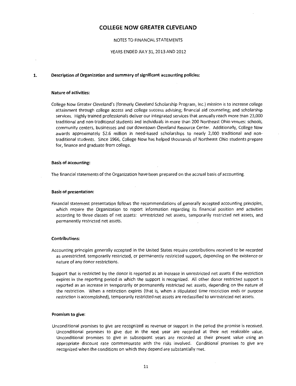### NOTES TO FINANCIAL STATEMENTS

### YEARS ENDED JULY 31,2013 AND 2012

### **1. Description of Organization and summary of significant accounting policies:**

### **Nature of activities:**

College Now Greater Cleveland's (formerly Cleveland Scholarship Program, Inc.) mission is to increase college attainment through college access and college success advising; financial aid counseling; and scholarship services. Highly trained professionals deliver our integrated services that annually reach more than 23,000 traditional and non-traditional students and individuals in more than 200 Northeast Ohio venues: schools, community centers, businesses and our downtown Cleveland Resource Center. Additionally, College Now awards approximately \$2.6 million in need-based scholarships to nearly 2,000 traditional and nontraditional students. Since 1966, College Now has helped thousands of Northeast Ohio students prepare for, finance and graduate from college.

### **Basis of accounting:**

The financial statements of the Organization have been prepared on the accrual basis of accounting.

### **Basis of presentation:**

Financial statement presentation follows the recommendations of generally accepted accounting principles, which require the Organization to report information regarding its financial position and activities according to three classes of net assets: unrestricted net assets, temporarily restricted net assets, and permanently restricted net assets.

### **Contributions:**

- Accounting principles generally accepted in the United States require contributions received to be recorded as unrestricted, temporarily restricted, or permanently restricted support, depending on the existence or nature of any donor restrictions.
- Support that is restricted by the donor is reported as an increase in unrestricted net assets if the restriction expires in the reporting period in which the support is recognized. All other donor restricted support is reported as an increase in temporarily or permanently restricted net assets, depending on the nature of the restriction. When a restriction expires (that is, when a stipulated time restriction ends or purpose restriction is accomplished), temporarily restricted net assets are reclassified to unrestricted net assets.

### **Promises to give:**

Unconditional promises to give are recognized as revenue or support in the period the promise is received. Unconditional promises to give due in the next year are recorded at their net realizable value. Unconditional promises to give in subsequent years are recorded at their present value using an appropriate discount rate commensurate with the risks involved. Conditional promises to give are recognized when the conditions on which they depend are substantially met.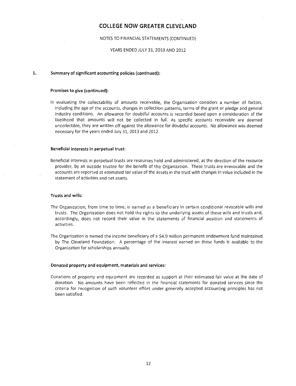### NOTES TO FINANCIAL STATEMENTS {CONTINUED)

### YEARS ENDED JULY 31, 2013 AND 2012

### **1. Summary of significant accounting policies (continued):**

### **Promises to give (continued):**

In evaluating the collectability of amounts receivable, the Organization considers a number of factors, including the age of the accounts, changes in collection patterns, terms of the grant or pledge and general industry conditions. An allowance for doubtful accounts is recorded based upon a consideration of the likelihood that amounts will not be collected in full. As specific accounts receivable are deemed uncollectible, they are written off against the allowance for doubtful accounts. No allowance was deemed necessary for the years ended July 31, 2013 and 2012.

### **Beneficial interests in perpetual trust:**

Beneficial interests in perpetual trusts are resources held and administered, at the direction of the resource provider, by an outside trustee for the benefit of the Organization. These trusts are irrevocable and the accounts are reported at estimated fair value of the assets in the trust with changes in value included in the statement of activities and net assets.

### **Trusts and wills:**

- The Organization, from time to time, is named as a beneficiary in certain conditional revocable wills and trusts. The Organization does not hold the rights to the underlying assets of these wills and trusts and, accordingly, does not record their value in the statements of financial position and statements of activities.
- The Organization is named the income beneficiary of a \$4.9 million permanent endowment fund maintained by The Cleveland Foundation. A percentage of the interest earned on these funds is available to the Organization for scholarships annually.

### **Donated property and equipment, materials and services:**

Donations of property and equipment are recorded as support at their estimated fair value at the date of donation. No amounts have been reflected in the financial statements for donated services since the criteria for recognition of such volunteer effort under generally accepted accounting principles has not been satisfied.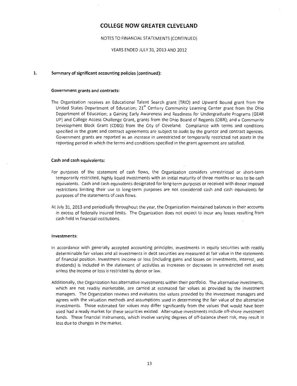### NOTES TO FINANCIAL STATEMENTS (CONTINUED)

### YEARS ENDED JULY 31, 2013 AND 2012

### **1. Summary of significant accounting policies (continued):**

### **Government grants and contracts:**

The Organization receives an Educational Talent Search grant (TRIO) and Upward Bound grant from the United States Department of Education; 21<sup>st</sup> Century Community Learning Center grant from the Ohio Department of Education; a Gaining Early Awareness and Readiness for Undergraduate Programs (GEAR UP) and College Access Challenge Grant, grants from the Ohio Board of Regents (OBR); and a Community Development Block Grant (CDBG) from the City of Cleveland. Compliance with terms and conditions specified in the grant and contract agreements are subject to audit by the grantor and contract agencies. Government grants are reported as an increase in unrestricted or temporarily restricted net assets in the reporting period in which the terms and conditions specified in the grant agreement are satisfied.

### **Cash and cash equivalents:**

- For purposes of the statement of cash flows, the Organization considers unrestricted or short-term temporarily restricted, highly liquid investments with an initial maturity of three months or less to be cash equivalents. Cash and cash equivalents designated for long-term purposes or received with donor imposed restrictions limiting their use to long-term purposes are not considered cash and cash equivalents for purposes of the statements of cash flows.
- At July 31, 2013 and periodically throughout the year, the Organization maintained balances in their accounts in excess of federally insured limits. The Organization does not expect to incur any losses resulting from cash held in financial institutions.

### **Investments:**

- In accordance with generally accepted accounting principles, investments in equity securities with readily determinable fair values and all investments in debt securities are measured at fair value in the statements of financial position. Investment income or loss (including gains and losses on investments, interest, and dividends) is included in the statement of activities as increases or decreases in unrestricted net assets unless the income or loss is restricted by donor or law.
- Additionally, the Organization has alternative investments within their portfolio. The alternative investments, which are not readily marketable, are carried at estimated fair values as provided by the investment managers. The Organization reviews and evaluates the values provided by the investment managers and agrees with the valuation methods and assumptions used in determining the fair value of the alternative investments. Those estimated fair values may differ significantly from the values that would have been used had a ready market for these securities existed. Alternative investments include off-shore investment funds. These financial instruments, which involve varying degrees of off-balance sheet risk, may result in loss due to changes in the market.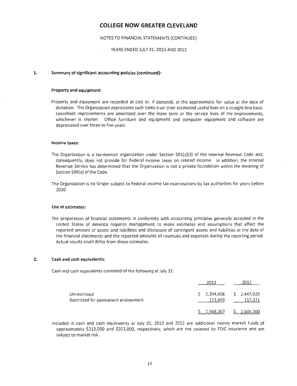### NOTES TO FINANCIAL STATEMENTS {CONTINUED)

YEARS ENDED JULY 31, 2013 AND 2012

### **1. Summary of significant accounting policies (continued):**

### **Property and equipment:**

Property and equipment are recorded at cost or, if donated, at the approximate fair value at the date of donation. The Organization depreciates such items over their estimated useful lives on a straight-line basis. Leasehold improvements are amortized over the lease term or the service lives of the improvements, whichever is shorter. Office furniture and equipment and computer equipment and software are depreciated over three to five years.

### **Income taxes:**

- The Organization is a tax-exempt organization under Section 501{c}{3} of the Internal Revenue Code and, consequently, does not provide for Federal income taxes on related income. In addition, the Internal Revenue Service has determined that the Organization is not a private foundation within the meaning of Section 509{a) of the Code.
- The Organization is no longer subject to Federal income tax examinations by tax authorities for years before 2010.

### **Use of estimates:**

The preparation of financial statements in conformity with accounting principles generally accepted in the United States of America requires management to make estimates and assumptions that affect the reported amount of assets and liabilities and disclosure of contingent assets and liabilities at the date of the financial statements and the reported amounts of revenues and expenses during the reporting period. Actual results could differ from those estimates.

### **2. Cash and cash equivalents:**

Cash and cash equivalents consisted of the following at July 31:

|                                                    | 2013      | 2012                                 |
|----------------------------------------------------|-----------|--------------------------------------|
| Unrestricted<br>Restricted for permanent endowment | 173.499   | $$2,394,808$ $$2,447,929$<br>157,371 |
|                                                    | 2,568,307 | 5, 2,605,300                         |

Included in cash and cash equivalents at July 31, 2013 and 2012 are additional money market funds of approximately \$213,000 and \$202,000, respectively, which are not covered by FDIC insurance and are subject to market risk.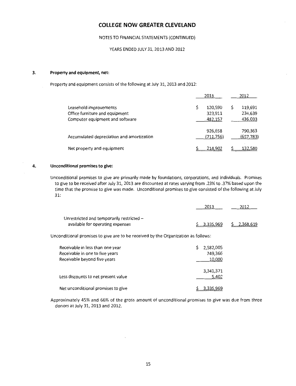### NOTES TO FINANCIAL STATEMENTS (CONTINUED)

YEARS ENDED JULY 31, 2013 AND 2012

### **3. Property and equipment, net:**

Property and equipment consists of the following at July 31, 2013 and 2012:

|                                                                                             | 2013                          | 2012                                |
|---------------------------------------------------------------------------------------------|-------------------------------|-------------------------------------|
| Leasehold improvements<br>Office furniture and equipment<br>Computer equipment and software | 120,590<br>323,911<br>482,157 | \$<br>119,691<br>234,639<br>436,033 |
| Accumulated depreciation and amortization                                                   | 926,658<br>(711.756)          | 790,363<br>(657, 783)               |
| Net property and equipment                                                                  | 214.902                       | 132,580                             |

#### **4. Unconditional promises to give:**

Unconditional promises to give are primarily made by foundations, corporations, and individuals. Promises to give to be received after July 31, 2013 are discounted at rates varying from .23% to .37% based upon the time that the promise to give was made. Unconditional promises to give consisted of the following at July 31:

|                                                                                 | 2013          | 2012        |
|---------------------------------------------------------------------------------|---------------|-------------|
| Unrestricted and temporarily restricted $-$<br>available for operating expenses | $5$ 3,335,969 | \$2,368,619 |

Unconditional promises to give are to be received by the Organization as follows:

| Receivable in less than one year<br>Receivable in one to five years<br>Receivable beyond five years | 2,582,005<br>749.366<br>10,000 |
|-----------------------------------------------------------------------------------------------------|--------------------------------|
| Less discounts to net present value                                                                 | 3,341,371<br>5,402             |
| Net unconditional promises to give                                                                  | 3,335,969                      |

Approximately 45% and 66% of the gross amount of unconditional promises to give was due from three donors at July 31, 2013 and 2012.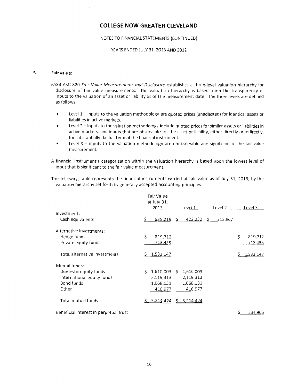### **COllEGE NOW GREATER ClEVElAND**

### NOTES TO FINANCIAL STATEMENTS (CONTINUED)

### YEARS ENDED JULY 31, 2013 AND 2012

### **5. Fair value:**

FASB ASC 820 Fair Value Measurements and Disclosure establishes a three-level valuation hierarchy for disclosure of fair value measurements. The valuation hierarchy is based upon the transparency of inputs to the valuation of an asset or liability as of the measurement date. The three levels are defined as follows:

- Level 1 inputs to the valuation methodology are quoted prices (unadjusted) for identical assets or liabilities in active markets.
- Level 2 inputs to the valuation methodology include quoted prices for similar assets or liabilities in active markets, and inputs that are observable for the asset or liability, either directly or indirectly, for substantially the full term of the financial instrument.
- Level 3 inputs to the valuation methodology are unobservable and significant to the fair value measurement.
- A financial instrument's categorization within the valuation hierarchy is based upon the lowest level of input that is significant to the fair value measurement.

The following table represents the financial instruments carried at fair value as of July 31, 2013, by the valuation hierarchy set forth by generally accepted accounting principles:

|                                        | Fair Value<br>at July 31, |                 |              |               |
|----------------------------------------|---------------------------|-----------------|--------------|---------------|
|                                        | 2013                      | Level 1         | Level 2      | Level 3       |
| Investments:                           |                           |                 |              |               |
| Cash equivalents                       | 635,219<br>Ś.             | 422,252<br>S.   | 212,967<br>S |               |
| Alternative investments:               |                           |                 |              |               |
| Hedge funds                            | \$<br>819,712             |                 |              | \$<br>819,712 |
| Private equity funds                   | 713,435                   |                 |              | 713,435       |
| Total alternative investments          | 1,533,147                 |                 |              | 1,533,147     |
| Mutual funds:                          |                           |                 |              |               |
| Domestic equity funds                  | Ś.<br>1,610,003           | 1,610,003<br>S. |              |               |
| International equity funds             | 2,119,313                 | 2,119,313       |              |               |
| Bond funds                             | 1,068,131                 | 1,068,131       |              |               |
| Other                                  | 416,977                   | 416,977         |              |               |
| Total mutual funds                     | 5,214,424<br>S.           | 5, 5, 214, 424  |              |               |
| Beneficial interest in perpetual trust |                           |                 |              | 234,905<br>S  |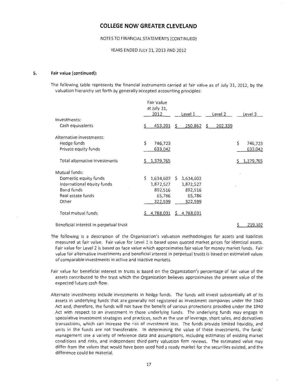### NOTES TO FINANCIAL STATEMENTS (CONTINUED)

YEARS ENDED JULY 31, 2013 AND 2012

### **5. Fair value (continued):**

The following table represents the financial instruments carried at fair value as of July 31, 2012, by the valuation hierarchy set forth by generally accepted accounting principles:

|                               | Fair Value      |                 |              |               |
|-------------------------------|-----------------|-----------------|--------------|---------------|
|                               | at July 31,     |                 |              |               |
|                               | 2012            | Level 1         | Level 2      | Level 3       |
| Investments:                  |                 |                 |              |               |
| Cash equivalents              | \$<br>453,201   | 250,862<br>S    | 202,339<br>S |               |
| Alternative investments:      |                 |                 |              |               |
| Hedge funds                   | \$<br>746,723   |                 |              | \$<br>746,723 |
| Private equity funds          | 633,042         |                 |              | 633,042       |
| Total alternative investments | 1,379,765<br>S  |                 |              | 1,379,765     |
| Mutual funds:                 |                 |                 |              |               |
| Domestic equity funds         | Ś.<br>1,634,603 | -S<br>1,634,603 |              |               |
| International equity funds    | 1,872,527       | 1,872,527       |              |               |
| Bond funds                    | 892,516         | 892,516         |              |               |
| Real estate funds             | 65,786          | 65,786          |              |               |
| Other                         | 322,599         | 322,599         |              |               |
| Total mutual funds            | 4,788,031       | 4,788,031       |              |               |
|                               |                 |                 |              |               |

Beneficial interest in perpetual trust s 219,102

- The following is a description of the Organization's valuation methodologies for assets and liabilities measured at fair value. Fair value for Level 1 is based upon quoted market prices for identical assets. Fair value for Level 2 is based on face value which approximates fair value for money market funds. Fair value for alternative investments and beneficial interest in perpetual trusts is based on estimated values of comparable investments in active and inactive markets.
- Fair value for beneficial interest in trusts is based on the Organization's percentage of fair value of the assets contributed to the trust which the Organization believes approximates the present value of the expected future cash flow.
- Alternate investments include investments in hedge funds. The funds will invest substantially all of its assets in underlying funds that are generally not registered as investment companies under the 1940 Act and, therefore, the funds will not have the benefit of various protections provided under the 1940 Act with respect to an investment in those underlying funds. The underlying funds may engage in speculative investment strategies and practices, such as the use of leverage, short sales, and derivatives transactions, which can increase the risk of investment loss. The funds provide limited liquidity, and units in the funds are not transferable. In determining the value of these investments, the funds' management use a variety of reference data and assumptions, including estimates of existing market conditions and risks, and independent third-party valuation firm reviews. The estimated value may differ from the values that would have been used had a ready market for the securities existed, and the difference could be material.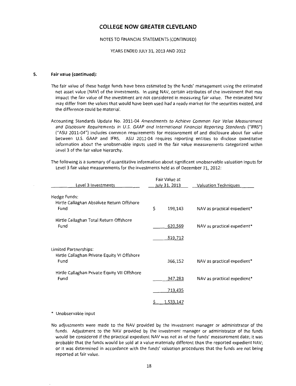### NOTES TO FINANCIAL STATEMENTS (CONTINUED)

YEARS ENDED JULY 31, 2013 AND 2012

### **5. Fair value (continued):**

The fair value of these hedge funds have been estimated by the funds' management using the estimated net asset value (NAV) of the investments. In using NAV, certain attributes of the investment that may impact the fair value of the investment are not considered in measuring fair value. The estimated NAV may differ from the values that would have been used had a ready market for the securities existed, and the difference could be material.

Accounting Standards Update No. 2011-04 Amendments to Achieve Common Fair Value Measurement and Disclosure Requirements in U.S. GAAP and International Financial Reporting Standards ("IFRS") ("ASU 2011-04") includes common requirements for measurement of and disclosure about fair value between U.S. GAAP and IFRS. ASU 2011-04 requires reporting entities to disclose quantitative information about the unobservable inputs used in the fair value measurements categorized within Level 3 of the fair value hierarchy.

| The following is a summary of quantitative information about significant unobservable valuation inputs for |
|------------------------------------------------------------------------------------------------------------|
| Level 3 fair value measurements for the investments held as of December 31, 2012:                          |

|                                                                              | Fair Value at |                             |
|------------------------------------------------------------------------------|---------------|-----------------------------|
| Level 3 Investments                                                          | July 31, 2013 | <b>Valuation Techniques</b> |
| Hedge Funds:<br>Hirtle Callaghan Absolute Return Offshore<br>Fund            | \$<br>199,143 | NAV as practical expedient* |
| Hirtle Callaghan Total Return Offshore<br>Fund                               | 620,569       | NAV as practical expedient* |
|                                                                              | 819,712       |                             |
| Limited Partnerships:<br>Hirtle Callaghan Private Equity VI Offshore<br>Fund | 366,152       | NAV as practical expedient* |
| Hirtle Callaghan Private Equity VII Offshore<br>Fund                         | 347,283       | NAV as practical expedient* |
|                                                                              | 713,435       |                             |
|                                                                              | 1,533,147     |                             |

### \* Unobservable input

No adjustments were made to the NAV provided by the investment manager or administrator of the funds. Adjustment to the NAV provided by the investment manager or administrator of the funds would be considered if the practical expedient NAV was not as of the funds' measurement date; it was probable that the funds would be sold at a value materially different than the reported expedient NAV; or it was determined in accordance with the funds' valuation procedures that the funds are not being reported at fair value.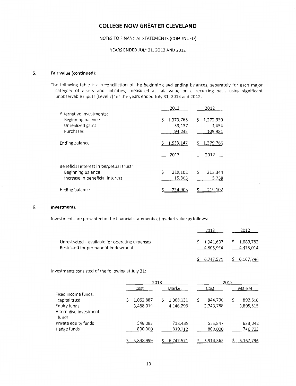### NOTES TO FINANCIAL STATEMENTS (CONTINUED}

### YEARS ENDED JULY 31, 2013 AND 2012

### **5. Fair value (continued):**

The following table is a reconciliation of the beginning and ending balances, separately for each major category of assets and liabilities, measured at fair value on a recurring basis using significant unobservable inputs (Level3} for the years ended July 31, 2013 and 2012:

|                                         |    | 2013          |    | 2012      |
|-----------------------------------------|----|---------------|----|-----------|
| Alternative investments:                |    |               |    |           |
| Beginning balance                       | Ś. | 1,379,765     | Ś. | 1,272,330 |
| Unrealized gains                        |    | 59,137        |    | 1,454     |
| Purchases                               |    | 94,245        |    | 105,981   |
| Ending balance                          |    | $5$ 1,533,147 |    | 1,379,765 |
|                                         |    | 2013          |    | 2012      |
| Beneficial interest in perpetual trust: |    |               |    |           |
| Beginning balance                       | Ś  | 219,102       | \$ | 213,344   |
| Increase in beneficial interest         |    | 15,803        |    | 5,758     |
| Ending balance                          |    | 234,905       |    | 219,102   |

### **6. Investments:**

Investments are presented in the financial statements at market value as follows:

|                                                                                       | 2013         | 2012                                     |
|---------------------------------------------------------------------------------------|--------------|------------------------------------------|
| Unrestricted – available for operating expenses<br>Restricted for permanent endowment | 4,805,934    | $5$ 1,941,637 $5$ 1,689,782<br>4,478,014 |
|                                                                                       | 5, 6.747.571 | \$6,167,796                              |

Investments consisted of the following at July 31:

|                                  |                 | 2013           |               | 2012      |
|----------------------------------|-----------------|----------------|---------------|-----------|
|                                  | Cost            | Market         | Cost          | Market    |
| Fixed income funds,              |                 |                |               |           |
| capital trust                    | \$<br>1,062,887 | 1,068,131<br>Ś | \$<br>844,730 | 892,516   |
| Equity funds                     | 3,488,019       | 4,146,293      | 3,743,788     | 3,895,515 |
| Alternative investment<br>funds: |                 |                |               |           |
| Private equity funds             | 548,093         | 713,435        | 525,847       | 633,042   |
| Hedge funds                      | 800,000         | 819,712        | 800,000       | 746,723   |
|                                  | 5,898,999       | 6,747,571      | 5,914,365     | 6,167,796 |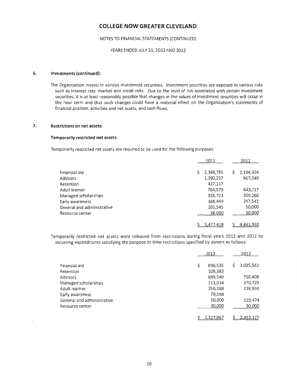### NOTES TO FINANCIAL STATEMENTS (CONTINUED)

YEARS ENDED JULY 31, 2013 AND 2012

### **6. Investments {continued):**

The Organization invests in various investment securities. Investment securities are exposed to various risks such as interest rate, market and credit risks. Due to the level of risk associated with certain investment securities, it is at least reasonably possible that changes in the values of investment securities will occur in the near term and that such changes could have a material effect on the Organization's statements of financial position, activities and net assets, and cash flows.

### **7. Restrictions on net assets:**

### **Temporarily restricted net assets:**

Temporarily restricted net assets are required to be used for the following purposes:

|                            | 2013            | 2012            |
|----------------------------|-----------------|-----------------|
| Financial aid              | 2,348,785<br>S. | 2,194,924<br>S. |
| Advisors                   | 1,292,237       | 967,049         |
| Retention                  | 437,117         |                 |
| Adult learner              | 764,579         | 643,217         |
| Managed scholarships       | 326,721         | 309,260         |
| Early awareness            | 168,444         | 247,542         |
| General and administrative | 101,545         | 50,000          |
| Resource center            | 38,000          | 30,000          |
|                            | 5,477,428       | 4,441,992       |

Temporarily restricted net assets were released from restrictions during fiscal years 2013 and 2012 by incurring expenditures satisfying the purpose or time restrictions specified by donors as follows:

|                            | 2013          |   | 2012      |
|----------------------------|---------------|---|-----------|
| Financial aid              | \$<br>896,535 | S | 1,035,582 |
| Retention                  | 108,383       |   |           |
| Advisors                   | 889,549       |   | 758,408   |
| Managed scholarships       | 213,014       |   | 270,729   |
| Adult learner              | 260,488       |   | 238,934   |
| Early awareness            | 79,098        |   |           |
| General and administrative | 50,000        |   | 119,474   |
| Resource center            | 30,000        |   | 30,000    |
|                            | 2,527,067     |   | 2,453,127 |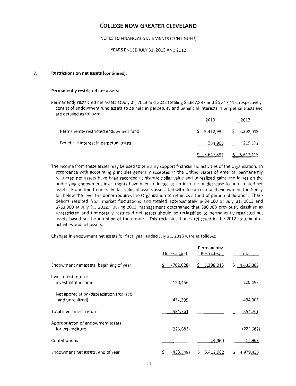### NOTES TO FINANCIAL STATEMENTS {CONTINUED)

YEARS ENDED JULY 31, 2013 AND 2012

### **7. Restrictions on net assets (continued):**

### **Permanently restricted net assets:**

Permanently restricted net assets at July 31, 2013 and 2012 totaling \$5,647,887 and \$5,617,115, respectively, consist of endowment fund assets to be held in perpetuity and beneficial interests in perpetual trusts and are detailed as follows:

|                                         | 2013                      |             |
|-----------------------------------------|---------------------------|-------------|
| Permanently restricted endowment fund   | $$5,412,982$ $$5,398,013$ |             |
| Beneficial interest in perpetual trusts | 234,905                   | 219,102     |
|                                         | \$ 5,647,887              | S 5,617,115 |

The income from these assets may be used to primarily support financial aid activities of the Organization. In accordance with accounting principles generally accepted in the United States of America, permanently restricted net assets have been recorded at historic dollar value and unrealized gains and losses on the underlying endowment investments have been reflected as an increase or decrease to unrestricted net assets. From time to time, the fair value of assets associated with donor-restricted endowment funds may fall below the level the donor requires the Organization to retain as a fund of perpetual duration. These deficits resulted from market fluctuations and totaled approximately \$434,000 at July 31, 2013 and \$763,000 at July 31, 2012. During 2012, management determined that \$80,088 previously classified as unrestricted and temporarily restricted net assets should be reclassified to permanently restricted net assets based on the intention of the donors. This reclassification is reflected in the 2012 statement of activities and net assets.

Changes in endowment net assets for fiscal year ended July 31, 2013 were as follows:

|                                                            | Unrestricted    | Permanently<br>Restricted | Total      |
|------------------------------------------------------------|-----------------|---------------------------|------------|
| Endowment net assets, beginning of year                    | (762,628)<br>Ś. | \$5,398,013               | 4,635,385  |
| investment return:<br>Investment income                    | 120,456         |                           | 120,456    |
| Net appreciation/depreciation (realized<br>and unrealized) | 434,305         |                           | 434,305    |
| Total investment return                                    | 554,761         |                           | 554,761    |
| Appropriation of endowment assets<br>for expenditure       | (225, 682)      |                           | (225, 682) |
| Contributions                                              |                 | 14,969                    | 14,969     |
| Endowment net assets, end of year                          | (433,549)       | 5,412,982                 | 4,979,433  |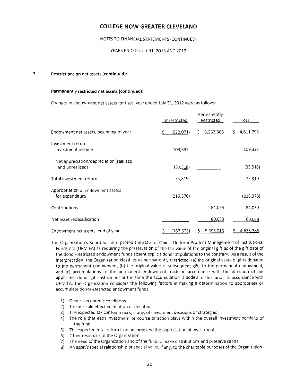NOTES TO FINANCIAL STATEMENTS (CONTINUED)

YEARS ENDED JULY 31, 2013 AND 2012

### **7. Restrictions on net assets (continued):**

### **Permanently restricted net assets (continued):**

Changes in endowment net assets for fiscal year ended July 31, 2012 were as follows:

|                                                            | Unrestricted    | Permanently<br>Restricted | Total      |
|------------------------------------------------------------|-----------------|---------------------------|------------|
| Endowment net assets, beginning of year                    | (622,071)<br>\$ | \$5,233,866               | 4,611,795  |
| Investment return:<br>Investment income                    | 109,337         |                           | 109,337    |
| Net appreciation/depreciation (realized<br>and unrealized) | (33, 518)       |                           | (33, 518)  |
| Total investment return                                    | 75,819          |                           | 75,819     |
| Appropriation of endowment assets<br>for expenditure       | (216, 376)      |                           | (216, 376) |
| Contributions                                              |                 | 84,059                    | 84,059     |
| Net asset reclassification                                 |                 | 80,088                    | 80,088     |
| Endowment net assets, end of year                          | (762, 628)      | 5,398,013                 | 4,635,385  |

The Organization's Board has interpreted the State of Ohio's Uniform Prudent Management of Institutional Funds Act (UPMIFA) as requiring the preservation of the fair value of the original gift as of the gift date of the donor-restricted endowment funds absent explicit donor stipulations to the contrary. As a result of the interpretation, the Organization classifies as permanently restricted, (a) the original value of gifts donated to the permanent endowment, (b) the original value of subsequent gifts to the permanent endowment, and (c) accumulations to the permanent endowment made in accordance with the direction of the applicable donor gift instrument at the time the accumulation is added to the fund. In accordance with UPMIFA, the Organization considers the following factors in making a determination to appropriate or accumulate donor-restricted endowment funds:

- 1) General economic conditions
- 2) The possible effect of inflation or deflation
- 3) The expected tax consequences, if any, of investment decisions or strategies
- 4) The role that each investment or course of action plays within the overall investment portfolio of the fund
- 5) The expected total return from income and the appreciation of investments
- 6) Other resources of the Organization
- 7) The need of the Organization and of the fund to make distributions and preserve capital
- 8) An asset's special relationship or special value, if any, to the charitable purposes of the Organization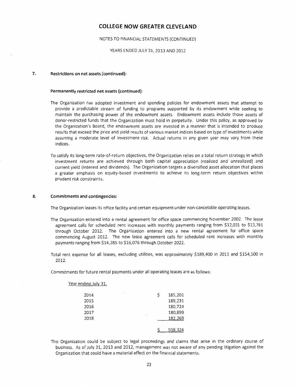NOTES TO FINANCIAL STATEMENTS (CONTINUED)

YEARS ENDED JULY 31, 2013 AND 2012

### **7. Restrictions on net assets (continued):**

### **Permanently restricted net assets (continued}:**

- The Organization has adopted investment and spending policies for endowment assets that attempt to provide a predictable stream of funding to programs supported by its endowment while seeking to maintain the purchasing power of the endowment assets. Endowment assets include those assets of donor-restricted funds that the Organization must hold in perpetuity. Under this policy, as approved by the Organization's Board, the endowment assets are invested in a manner that is intended to produce results that exceed the price and yield results of various market indices based on type of investments while assuming a moderate level of investment risk. Actual returns in any given year may vary from these indices.
- To satisfy its long-term rate-of-return objectives, the Organization relies on a total return strategy in which investment returns are achieved through both capital appreciation (realized and unrealized) and current yield (interest and dividends). The Organization targets a diversified asset allocation that places a greater emphasis on equity-based investments to achieve its long-term return objectives within prudent risk constraints.

### **8. Commitments and contingencies:**

The Organization leases its office facility and certain equipment under non-cancelable operating leases.

- The Organization entered into a rental agreement for office space commencing November 2002. The lease agreement calls for scheduled rent increases with monthly payments ranging from \$12,031 to \$13,781 through October 2012. The Organization entered into a new rental agreement for office space commencing August 2012. The new lease agreement calls for scheduled rent increases with monthly payments ranging from \$14,285 to \$16,076 through October 2022.
- Total rent expense for all leases, excluding utilities, was approximately \$189,400 in 2013 and \$154,500 in 2012.

Commitments for future rental payments under all operating leases are as follows:

| Year ending July 31, |               |
|----------------------|---------------|
| 2014                 | \$<br>185,201 |
| 2015                 | 189,231       |
| 2016                 | 180,724       |
| 2017                 | 180,899<br>٠  |
| 2018                 | 182,269       |
|                      | 918,324       |

The Organization could be subject to legal proceedings and claims that arise in the ordinary course of business. As of July 31, 2013 and 2012, management was not aware of any pending litigation against the Organization that could have a material effect on the financial statements.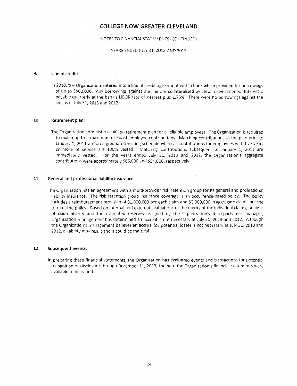### **COllEGE NOW GREATER ClEVElAND**

### NOTES TO FINANCIAL STATEMENTS (CONTINUED)

### YEARS ENDED JULY 31,2013 AND 2012

### **9. Line of credit:**

In 2010, the Organization entered into a line of credit agreement with a bank which provided for borrowings of up to \$500,000. Any borrowings against the line are collateralized by certain investments. Interest is payable quarterly at the bank's LIBOR rate of interest plus 1.75%. There were no borrowings against the line as of July 31, 2013 and 2012.

### **10. Retirement plan:**

The Organization administers a 401(k) retirement plan for all eligible employees. The Organization is required to match up to a maximum of 5% of employee contributions. Matching contributions to the plan prior to January 1, 2011 are on a graduated vesting schedule whereas contributions for employees with five years or more of service are 100% vested. Matching contributions subsequent to January 1, 2011 are immediately vested. For the years ended July 31, 2013 and 2012, the Organization's aggregate contributions were approximately \$66,000 and \$54,000, respectively.

### **11. General and professional liability insurance:**

The Organization has an agreement with a multi-provider risk retention group for its general and professional liability insurance. The risk retention group insurance coverage is an occurrence-based policy. The policy includes a reimbursement provision of \$1,000,000 per each claim and \$3,000,000 in aggregate claims per the term of the policy. Based on internal and external evaluations of the merits of the individual claims, analysis of claim history and the estimated reserves assigned by the Organization's third-party risk manager, Organization management has determined an accrual is not necessary at July 31, 2013 and 2012. Although the Organization's management believes an accrual for potential losses is not necessary at July 31, 2013 and 2012, a liability may result and it could be material.

### **12. Subsequent events:**

In preparing these financial statements, the Organization has evaluated events and transactions for potential recognition or disclosure through December 11, 2013, the date the Organization's financial statements were available to be issued.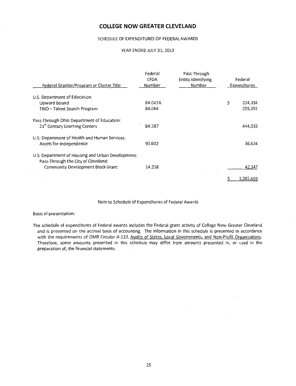### SCHEDULE OF EXPENDITURES OF FEDERAL AWARDS

### YEAR ENDED JULY 31, 2013

| Federal Grantor/Program or Cluster Title                                                                                             | Federal<br><b>CFDA</b><br>Number | Pass-Through<br>Entity Identifying<br>Number | Federal<br>Expenditures |           |  |
|--------------------------------------------------------------------------------------------------------------------------------------|----------------------------------|----------------------------------------------|-------------------------|-----------|--|
| U.S. Department of Education:                                                                                                        |                                  |                                              |                         |           |  |
| Upward Bound                                                                                                                         | 84.047A                          |                                              | \$                      | 224,334   |  |
| TRIO - Talent Search Program                                                                                                         | 84.044                           |                                              |                         | 255,355   |  |
| Pass-Through Ohio Department of Education:<br>21 <sup>st</sup> Century Learning Centers                                              | 84.287                           |                                              |                         | 444,033   |  |
| U.S. Department of Health and Human Services:<br>Assets for Independence                                                             | 93.602                           |                                              |                         | 36,624    |  |
| U.S. Department of Housing and Urban Development:<br>Pass-Through the City of Cleveland:<br><b>Community Development Block Grant</b> | 14.218                           |                                              |                         | 42.347    |  |
|                                                                                                                                      |                                  |                                              |                         | 1.002,693 |  |

### Note to Schedule of Expenditures of Federal Awards

### Basis of presentation:

The schedule of expenditures of Federal awards includes the Federal grant activity of College Now Greater Cleveland and is presented on the accrual basis of accounting. The information in this schedule is presented in accordance with the requirements of OMB Circular A-133, Audits of States, Local Governments, and Non-Profit Organizations. Therefore, some amounts presented in this schedule may differ from amounts presented in, or used in the preparation of, the financial statements.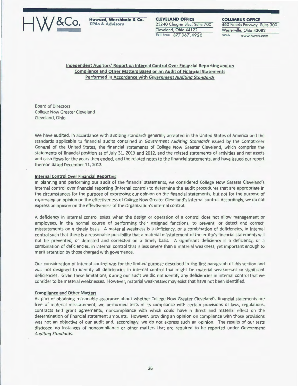

Howard, Wershbale & Co.<br>CPAs & Advisors

CLEVELAND OFFICE

23240 Chagrin Blvd, Suite 700 Cleveland, Ohio 44122 Toll Free 877 367 .4926

COLUMBUS OFFICE

460 Polaris Parkway, Suite 300 Westerville, Ohio 43082<br>Web www.hwco.com www.hwco.com

Independent Auditors' Report on Internal Control Over Financial Reporting and on Compliance and Other Matters Based on an Audit of Financial Statements Performed in Accordance with Government Auditing Standards

Board of Directors College Now Greater Cleveland Cleveland, Ohio

We have audited, in accordance with auditing standards generally accepted in the United States of America and the standards applicable to financial audits contained in Government Auditing Standards issued by the Comptroller General of the United States, the financial statements of College Now Greater Cleveland, which comprise the statements of financial position as of July 31, 2013 and 2012, and the related statements of activities and net assets and cash flows for the years then ended, and the related notes to the financial statements, and have issued our report thereon dated December 11, 2013.

### Internal Control Over Financial Reporting

In planning and performing our audit of the financial statements, we considered College Now Greater Cleveland's internal control over financial reporting {internal control) to determine the audit procedures that are appropriate in the circumstances for the purpose of expressing our opinion on the financial statements, but not for the purpose of expressing an opinion on the effectiveness of College Now Greater Cleveland's internal control. Accordingly, we do not express an opinion on the effectiveness of the Organization's internal control.

A deficiency in internal control exists when the design or operation of a control does not allow management or employees, in the normal course of performing their assigned functions, to prevent, or detect and correct, misstatements on a timely basis. A material weakness is a deficiency, or a combination of deficiencies, in internal control such that there is a reasonable possibility that a material misstatement of the entity's financial statements will not be prevented, or detected and corrected on a timely basis. A significant deficiency is a deficiency, or a combination of deficiencies, in internal control that is less severe than a material weakness, yet important enough to merit attention by those charged with governance.

Our consideration of internal control was for the limited purpose described in the first paragraph of this section and was not designed to identify all deficiencies in internal control that might be material weaknesses or significant deficiencies. Given these limitations, during our audit we did not identify any deficiencies in internal control that we consider to be material weaknesses. However, material weaknesses may exist that have not been identified.

### Compliance and Other Matters

As part of obtaining reasonable assurance about whether College Now Greater Cleveland's financial statements are free of material misstatement, we performed tests of its compliance with certain provisions of laws, regulations, contracts and grant agreements, noncompliance with which could have a direct and material effect on the determination of financial statement amounts. However, providing an opinion on compliance with those provisions was not an objective of our audit and, accordingly, we do not express such an opinion. The results of our tests disclosed no instances of noncompliance or other matters that are required to be reported under Government Auditing Standards.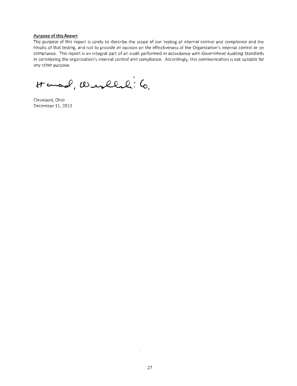### **Purpose of this Report**

The purpose of this report is solely to describe the scope of our testing of internal control and compliance and the results of that testing, and not to provide an opinion on the effectiveness of the Organization's internal control or on compliance. This report is an integral part of an audit performed in accordance with Government Auditing Standards in considering the organization's internal control and compliance. Accordingly, this communication is not suitable for any other purpose.

Hamard, Weshlili 6.

 $\bar{.}$ 

 $\sim$ 

Cleveland, Ohio December 11, 2013

 $\ddot{\phantom{a}}$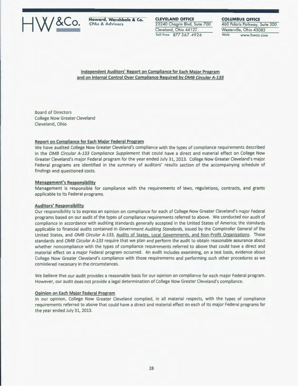

Howard, Wershbale & Co. CPAs & Advisors

CLEVELAND OFFICE 23240 Chagrin Blvd, Suite 700 Cleveland, Ohio 44122

Toll Free 877 367 .4926

COLUMBUS OFFICE

460 Polaris Parkway, Suite 300 Westerville, Ohio 43082 www.hwco.com

Independent Auditors' Report on Compliance for Each Major Program and on Internal Control Over Compliance Required by OMB Circular A-133

Board of Directors College Now Greater Cleveland Cleveland, Ohio

### Report on Compliance for Each Major Federal Program

We have audited College Now Greater Cleveland's compliance with the types of compliance requirements described in the OMB Circular A-133 Compliance Supplement that could have a direct and material effect on College Now Greater Cleveland's major Federal program for the year ended July 31, 2013. College Now Greater Cleveland's major Federal programs are identified in the summary of auditors' results section of the accompanying schedule of findings and questioned costs.

### Management's Responsibility

Management is responsible for compliance with the requirements of laws, regulations, contracts, and grants applicable to its Federal programs.

### Auditors' Responsibility

Our responsibility is to express an opinion on compliance for each of College Now Greater Cleveland's major Federal programs based on our audit of the types of compliance requirements referred to above. We conducted our audit of compliance in accordance with auditing standards generally accepted in the United States of America; the standards applicable to financial audits contained in Government Auditing Standards, issued by the Comptroller General of the United States, and OMB Circular A-133, Audits of States, Local Governments, and Non-Profit Organizations. Those standards and OMB Circular A-133 require that we plan and perform the audit to obtain reasonable assurance about whether noncompliance with the types of compliance requirements referred to above that could have a direct and material effect on a major Federal program occurred. An audit includes examining, on a test basis, evidence about College Now Greater Cleveland's compliance with those requirements and performing such other procedures as we considered necessary in the circumstances.

We believe that our audit provides a reasonable basis for our opinion on compliance for each major Federal program. However, our audit does not provide a legal determination of College Now Greater Cleveland's compliance.

### Opinion on Each Major Federal Program

In our opinion, College Now Greater Cleveland complied, in all material respects, with the types of compliance requirements referred to above that could have a direct and material effect on each of its major Federal programs for the year ended July 31, 2013.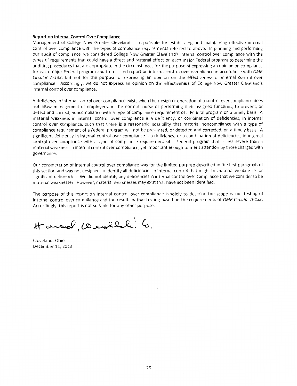### **Report on Internal Control Over Compliance**

Management of College Now Greater Cleveland is responsible for establishing and maintaining effective internal control over compliance with the types of compliance requirements referred to above. In planning and performing our audit of compliance, we considered College Now Greater Cleveland's internal control over compliance with the types of requirements that could have a direct and material effect on each major Federal program to determine the auditing procedures that are appropriate in the circumstances for the purpose of expressing an opinion on compliance for each major Federal program and to test and report on internal control over compliance in accordance with OMB Circular A-133, but not for the purpose of expressing an opinion on the effectiveness of internal control over compliance. Accordingly, we do not express an opinion on the effectiveness of College Now Greater Cleveland's internal control over compliance.

A deficiency in internal control over compliance exists when the design or operation of a control over compliance does not allow management or employees, in the normal course of performing their assigned functions, to prevent, or detect and correct, noncompliance with a type of compliance requirement of a Federal program on a timely basis. A material weakness in internal control over compliance is a deficiency, or combination of deficiencies, in internal control over compliance, such that there is a reasonable possibility that material noncompliance with a type of compliance requirement of a Federal program will not be prevented, or detected and corrected, on a timely basis. A significant deficiency in internal control over compliance is a deficiency, or a combination of deficiencies, in internal control over compliance with a type of compliance requirement of a Federal program that is less severe than a material weakness in internal control over compliance, yet important enough to merit attention by those charged with governance.

Our consideration of internal control over compliance was for the limited purpose described in the first paragraph of this section and was not designed to identify all deficiencies in internal control that might be material weaknesses or significant deficiencies. We did not identify any deficiencies in internal control over compliance that we consider to be material weaknesses. However, material weaknesses may exist that have not been identified.

The purpose of this report on internal control over compliance is solely to describe the scope of our testing of internal control over compliance and the results of that testing based on the requirements of OMB Circular A-133. Accordingly, this report is not suitable for any other purpose.

Harrol, Weslesle! Co.

Cleveland, Ohio December 11, 2013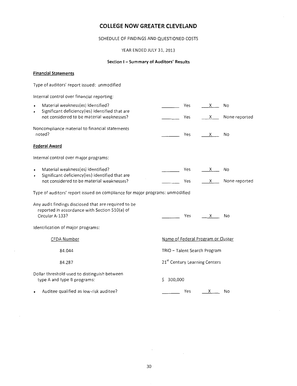SCHEDULE OF FINDINGS AND QUESTIONED COSTS

YEAR ENDED JULY 31, 2013

### **Section I- Summary of Auditors' Results**

### **Financial Statements**

 $\bar{z}$ 

Type of auditors' report issued: unmodified

Internal control over financial reporting:

| ٠ | Material weakness(es) identified?                                                                                        |                                           | Yes | X | No            |  |  |  |
|---|--------------------------------------------------------------------------------------------------------------------------|-------------------------------------------|-----|---|---------------|--|--|--|
| ۰ | Significant deficiency(ies) identified that are<br>not considered to be material weaknesses?                             |                                           | Yes | X | None reported |  |  |  |
|   | Noncompliance material to financial statements<br>noted?                                                                 |                                           | Yes | X | No            |  |  |  |
|   | <b>Federal Award</b>                                                                                                     |                                           |     |   |               |  |  |  |
|   | Internal control over major programs:                                                                                    |                                           |     |   |               |  |  |  |
| ۰ | Material weakness(es) identified?<br>Significant deficiency(ies) identified that are                                     |                                           | Yes | X | No            |  |  |  |
| ۰ | not considered to be material weaknesses?                                                                                |                                           | Yes | Χ | None reported |  |  |  |
|   | Type of auditors' report issued on compliance for major programs: unmodified                                             |                                           |     |   |               |  |  |  |
|   | Any audit findings disclosed that are required to be<br>reported in accordance with Section 510(a) of<br>Circular A-133? |                                           | Yes | Χ | No            |  |  |  |
|   | Identification of major programs:                                                                                        |                                           |     |   |               |  |  |  |
|   | <b>CFDA Number</b>                                                                                                       | Name of Federal Program or Cluster        |     |   |               |  |  |  |
|   | 84.044                                                                                                                   | TRIO - Talent Search Program              |     |   |               |  |  |  |
|   | 84.287                                                                                                                   | 21 <sup>st</sup> Century Learning Centers |     |   |               |  |  |  |
|   | Dollar threshold used to distinguish between<br>type A and type B programs:                                              | 300,000<br>Ś.                             |     |   |               |  |  |  |
| ۰ | Auditee qualified as low-risk auditee?                                                                                   |                                           | Yes | X | No            |  |  |  |

 $\sim$   $\epsilon$ 

 $\bar{z}$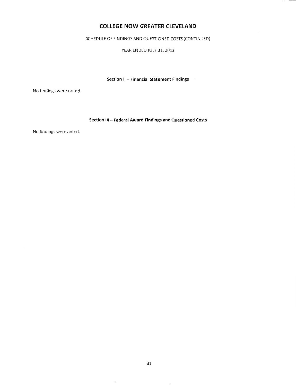SCHEDULE OF FINDINGS AND QUESTIONED COSTS (CONTINUED)

YEAR ENDED JULY 31, 2013

**Section II- Financial Statement Findings** 

No findings were noted.

**Section Ill- Federal Award Findings and Questioned Costs** 

No findings were noted.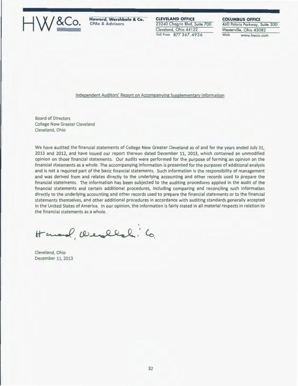

CPAs & Advisors

CLEVELAND OFFICE

23240 Chagrin Blvd, Suite 700 Cleveland, Ohio 44122 Toll Free 877 367 .4926

COLUMBUS OFFICE

460 Polaris Parkway, Suite 300 Westerville, Ohio 43082 www.hwco.com

Independent Auditors' Report on Accompanying Supplementary Information

Board of Directors College Now Greater Cleveland Cleveland, Ohio

We have audited the financial statements of College Now Greater Cleveland as of and for the years ended July 31, 2013 and 2012, and have issued our report thereon dated December 11, 2013, which contained an unmodified opinion on those financial statements. Our audits were performed for the purpose of forming an opinion on the financial statements as a whole. The accompanying information is presented for the purposes of additional analysis and is not a required part of the basic financial statements. Such information is the responsibility of management and was derived from and relates directly to the underlying accounting and other records used to prepare the financial statements. The information has been subjected to the auditing procedures applied in the audit of the financial statements and certain additional procedures, including comparing and reconciling such information directly to the underlying accounting and other records used to prepare the financial statements or to the financial statements themselves, and other additional procedures in accordance with auditing standards generally accepted in the United States of America. In our opinion, the information is fairly stated in all material respects in relation to the financial statements as a whole.

Hanard, Wesellale, Co.

Cleveland, Ohio December 11, 2013